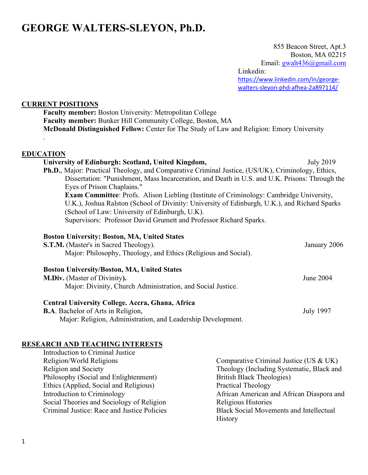# **GEORGE WALTERS-SLEYON, Ph.D.**

 855 Beacon Street, Apt.3 Boston, MA 02215 Email: [gwalt436@gmail.com](mailto:gwalt436@gmail.com) Linkedin: [https://www.linkedin.com/in/george](https://www.linkedin.com/in/george-walters-sleyon-phd-afhea-2a897114/)[walters-sleyon-phd-afhea-2a897114/](https://www.linkedin.com/in/george-walters-sleyon-phd-afhea-2a897114/)

### **CURRENT POSITIONS**

**Faculty member:** Boston University: Metropolitan College **Faculty member:** Bunker Hill Community College, Boston, MA **McDonald Distinguished Fellow:** Center for The Study of Law and Religion: Emory University

### **EDUCATION**

.

| University of Edinburgh: Scotland, United Kingdom,                                                        | July 2019 |  |
|-----------------------------------------------------------------------------------------------------------|-----------|--|
| <b>Ph.D.</b> , Major: Practical Theology, and Comparative Criminal Justice, (US/UK), Criminology, Ethics, |           |  |
| Dissertation: "Punishment, Mass Incarceration, and Death in U.S. and U.K. Prisons: Through the            |           |  |
| Eyes of Prison Chaplains."                                                                                |           |  |
| <b>Exam Committee:</b> Profs. Alison Liebling (Institute of Criminology: Cambridge University,            |           |  |
| U.K.), Joshua Ralston (School of Divinity: University of Edinburgh, U.K.), and Richard Sparks             |           |  |
| (School of Law: University of Edinburgh, U.K).                                                            |           |  |
| Supervisors: Professor David Grumett and Professor Richard Sparks.                                        |           |  |
|                                                                                                           |           |  |
| <b>Boston University: Boston, MA, United States</b>                                                       |           |  |

| <b>S.T.M.</b> (Master's in Sacred Theology).                    | January 2006 |
|-----------------------------------------------------------------|--------------|
| Major: Philosophy, Theology, and Ethics (Religious and Social). |              |
|                                                                 |              |
| <b>Boston University/Boston, MA, United States</b>              |              |

# **M.Div.** (Master of Divinity**).** June 2004 Major: Divinity, Church Administration, and Social Justice.

#### **Central University College. Accra, Ghana, Africa B.A**. Bachelor of Arts in Religion, July 1997

Major: Religion, Administration, and Leadership Development.

### **RESEARCH AND TEACHING INTERESTS**

| Introduction to Criminal Justice            |                                                |
|---------------------------------------------|------------------------------------------------|
| Religion/World Religions                    | Comparative Criminal Justice (US & UK)         |
| Religion and Society                        | Theology (Including Systematic, Black and      |
| Philosophy (Social and Enlightenment)       | <b>British Black Theologies)</b>               |
| Ethics (Applied, Social and Religious)      | Practical Theology                             |
| Introduction to Criminology                 | African American and African Diaspora and      |
| Social Theories and Sociology of Religion   | Religious Histories                            |
| Criminal Justice: Race and Justice Policies | <b>Black Social Movements and Intellectual</b> |
|                                             | <b>History</b>                                 |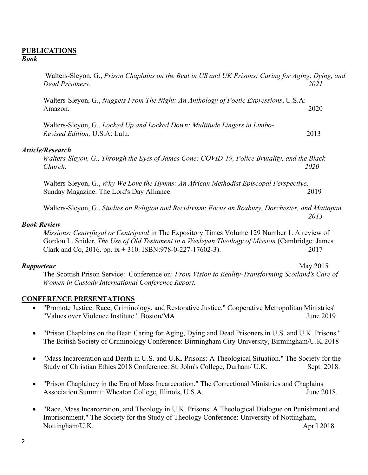# **PUBLICATIONS**

### *Book*

Walters-Sleyon, G., *Prison Chaplains on the Beat in US and UK Prisons: Caring for Aging, Dying, and Dead Prisoners. 2021*

Walters-Sleyon, G., *Nuggets From The Night: An Anthology of Poetic Expressions*, U.S.A: Amazon. 2020

Walters-Sleyon, G., *Locked Up and Locked Down: Multitude Lingers in Limbo-Revised Edition,* U.S.A: Lulu. 2013

#### *Article/Research*

*Walters-Sleyon, G., Through the Eyes of James Cone: COVID-19, Police Brutality, and the Black Church. 2020*

Walters-Sleyon, G., *Why We Love the Hymns: An African Methodist Episcopal Perspective,* Sunday Magazine: The Lord's Day Alliance. 2019

Walters-Sleyon, G., *Studies on Religion and Recidivism*: *Focus on Roxbury, Dorchester, and Mattapan. 2013*

#### *Book Review*

*Missions: Centrifugal or Centripetal* in The Expository Times Volume 129 Number 1. A review of Gordon L. Snider, *The Use of Old Testament in a Wesleyan Theology of Mission* (Cambridge: James Clark and Co, 2016. pp. ix + 310. ISBN:978-0-227-17602-3). 2017

#### *Rapporteur* May 2015

The Scottish Prison Service: Conference on: *From Vision to Reality-Transforming Scotland's Care of Women in Custody International Conference Report.* 

### **CONFERENCE PRESENTATIONS**

- "Promote Justice: Race, Criminology, and Restorative Justice." Cooperative Metropolitan Ministries' "Values over Violence Institute." Boston/MA June 2019
- "Prison Chaplains on the Beat: Caring for Aging, Dying and Dead Prisoners in U.S. and U.K. Prisons." The British Society of Criminology Conference: Birmingham City University, Birmingham/U.K.2018
- "Mass Incarceration and Death in U.S. and U.K. Prisons: A Theological Situation." The Society for the Study of Christian Ethics 2018 Conference: St. John's College, Durham/ U.K. Sept. 2018.
- "Prison Chaplaincy in the Era of Mass Incarceration." The Correctional Ministries and Chaplains Association Summit: Wheaton College, Illinois, U.S.A. June 2018.
- "Race, Mass Incarceration, and Theology in U.K. Prisons: A Theological Dialogue on Punishment and Imprisonment." The Society for the Study of Theology Conference: University of Nottingham, Nottingham/U.K. April 2018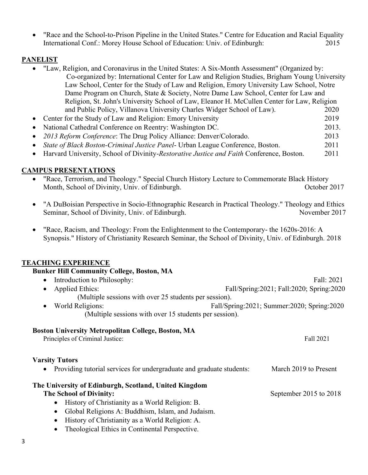• "Race and the School-to-Prison Pipeline in the United States." Centre for Education and Racial Equality International Conf.: Morey House School of Education: Univ. of Edinburgh: 2015

# **PANELIST**

- "Law, Religion, and Coronavirus in the United States: A Six-Month Assessment" (Organized by:
- Co-organized by: International Center for Law and Religion Studies, Brigham Young University Law School, Center for the Study of Law and Religion, Emory University Law School, Notre Dame Program on Church, State & Society, Notre Dame Law School, Center for Law and Religion, St. John's University School of Law, Eleanor H. McCullen Center for Law, Religion and Public Policy, Villanova University Charles Widger School of Law). 2020
- Center for the Study of Law and Religion: Emory University 2019
- National Cathedral Conference on Reentry: Washington DC. 2013.
- *2013 Reform Conference*: The Drug Policy Alliance: Denver/Colorado. 2013
- *State of Black Boston-Criminal Justice Panel* Urban League Conference, Boston. 2011
- Harvard University, School of Divinity-*Restorative Justice and Faith* Conference, Boston. 2011

# **CAMPUS PRESENTATIONS**

- "Race, Terrorism, and Theology." Special Church History Lecture to Commemorate Black History Month, School of Divinity, Univ. of Edinburgh. Contact the Contact of Divinity, Univ. of Edinburgh.
- "A DuBoisian Perspective in Socio-Ethnographic Research in Practical Theology." Theology and Ethics Seminar, School of Divinity, Univ. of Edinburgh. November 2017
- "Race, Racism, and Theology: From the Enlightenment to the Contemporary- the 1620s-2016: A Synopsis." History of Christianity Research Seminar, the School of Divinity, Univ. of Edinburgh. 2018

# **TEACHING EXPERIENCE**

# **Bunker Hill Community College, Boston, MA**

- Introduction to Philosophy: Fall: 2021 • Applied Ethics: Fall/Spring:2021; Fall:2020; Spring:2020 (Multiple sessions with over 25 students per session).
- World Religions: Fall/Spring:2021; Summer:2020; Spring:2020 (Multiple sessions with over 15 students per session).

# **Boston University Metropolitan College, Boston, MA**

| Principles of Criminal Justice:                                                                 | Fall 2021             |
|-------------------------------------------------------------------------------------------------|-----------------------|
| <b>Varsity Tutors</b><br>• Providing tutorial services for undergraduate and graduate students: | March 2019 to Present |
| The University of Edinburgh, Scotland, United Kingdom                                           |                       |

**The School of Divinity:**  $S$  is a september 2015 to 2018

- History of Christianity as a World Religion: B.
- Global Religions A: Buddhism, Islam, and Judaism.
- History of Christianity as a World Religion: A.
- Theological Ethics in Continental Perspective.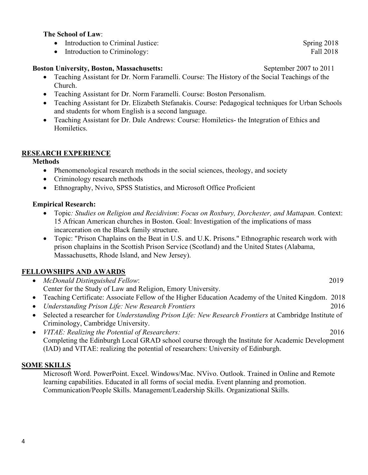### **The School of Law**:

- Introduction to Criminal Justice: Spring 2018
- Introduction to Criminology: Fall 2018

### **Boston University, Boston, Massachusetts:** September 2007 to 2011

- Teaching Assistant for Dr. Norm Faramelli. Course: The History of the Social Teachings of the Church.
- Teaching Assistant for Dr. Norm Faramelli. Course: Boston Personalism.
- Teaching Assistant for Dr. Elizabeth Stefanakis. Course: Pedagogical techniques for Urban Schools and students for whom English is a second language.
- Teaching Assistant for Dr. Dale Andrews: Course: Homiletics- the Integration of Ethics and Homiletics.

## **RESEARCH EXPERIENCE**

## **Methods**

- Phenomenological research methods in the social sciences, theology, and society
- Criminology research methods
- Ethnography, Nvivo, SPSS Statistics, and Microsoft Office Proficient

## **Empirical Research:**

- Topic*: Studies on Religion and Recidivism*: *Focus on Roxbury, Dorchester, and Mattapan.* Context: 15 African American churches in Boston. Goal: Investigation of the implications of mass incarceration on the Black family structure.
- Topic: "Prison Chaplains on the Beat in U.S. and U.K. Prisons." Ethnographic research work with prison chaplains in the Scottish Prison Service (Scotland) and the United States (Alabama, Massachusetts, Rhode Island, and New Jersey).

# **FELLOWSHIPS AND AWARDS**

| • McDonald Distinguished Fellow:                            | 2019 |
|-------------------------------------------------------------|------|
| Center for the Study of Law and Religion, Emory University. |      |
|                                                             |      |

- Teaching Certificate: Associate Fellow of the Higher Education Academy of the United Kingdom. 2018
- *Understanding Prison Life: New Research Frontiers* 2016
- Selected a researcher for *Understanding Prison Life: New Research Frontiers* at Cambridge Institute of Criminology, Cambridge University.
- *VITAE: Realizing the Potential of Researchers:* 2016 Completing the Edinburgh Local GRAD school course through the Institute for Academic Development (IAD) and VITAE: realizing the potential of researchers: University of Edinburgh.

# **SOME SKILLS**

Microsoft Word. PowerPoint. Excel. Windows/Mac. NVivo. Outlook. Trained in Online and Remote learning capabilities. Educated in all forms of social media. Event planning and promotion. Communication/People Skills. Management/Leadership Skills. Organizational Skills.